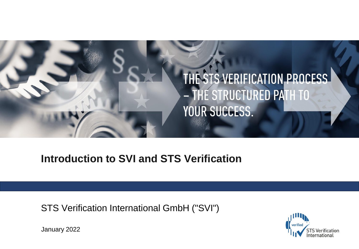

# **Introduction to SVI and STS Verification**

STS Verification International GmbH ("SVI")



January 2022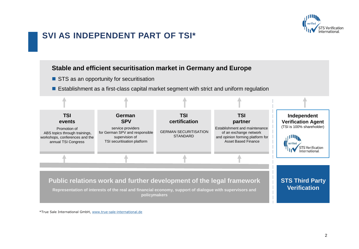

### **SVI AS INDEPENDENT PART OF TSI\***

#### **Stable and efficient securitisation market in Germany and Europe**

- STS as an opportunity for securitisation
- Establishment as a first-class capital market segment with strict and uniform regulation



\*True Sale International GmbH, www.true-sale-international.de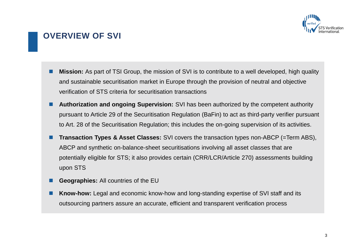

### **OVERVIEW OF SVI**

- Mission: As part of TSI Group, the mission of SVI is to contribute to a well developed, high quality and sustainable securitisation market in Europe through the provision of neutral and objective verification of STS criteria for securitisation transactions
- **Authorization and ongoing Supervision:** SVI has been authorized by the competent authority pursuant to Article 29 of the Securitisation Regulation (BaFin) to act as third-party verifier pursuant to Art. 28 of the Securitisation Regulation; this includes the on-going supervision of its activities.
- Transaction Types & Asset Classes: SVI covers the transaction types non-ABCP (=Term ABS), ABCP and synthetic on-balance-sheet securitisations involving all asset classes that are potentially eligible for STS; it also provides certain (CRR/LCR/Article 270) assessments building upon STS
- ◼ **Geographies:** All countries of the EU
- **Know-how:** Legal and economic know-how and long-standing expertise of SVI staff and its outsourcing partners assure an accurate, efficient and transparent verification process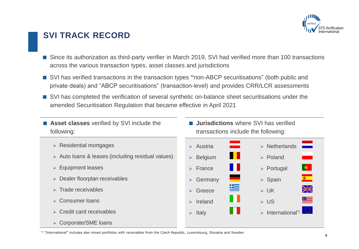

### **SVI TRACK RECORD**

- Since its authorization as third-party verifier in March 2019, SVI had verified more than 100 transactions across the various transaction types, asset classes and jurisdictions
- SVI has verified transactions in the transaction types "non-ABCP securitisations" (both public and private deals) and "ABCP securitisations" (transaction-level) and provides CRR/LCR assessments
- SVI has completed the verification of several synthetic on-balance sheet securitisations under the amended Securitisation Regulation that became effective in April 2021
- **Asset classes** verified by SVI include the following:
	- ➢ Residential mortgages
	- ➢ Auto loans & leases (including residual values)
	- ➢ Equipment leases
	- ➢ Dealer floorplan receivables
	- ➢ Trade receivables
	- ➢ Consumer loans
	- ➢ Credit card receivables
	- ➢ Corporate/SME loans

**Jurisdictions** where SVI has verified transactions include the following:



\*) "International" includes also mixed portfolios with receivables from the Czech Republic, Luxembourg, Slovakia and Sweden.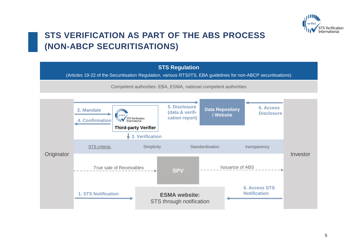

## **STS VERIFICATION AS PART OF THE ABS PROCESS (NON-ABCP SECURITISATIONS)**

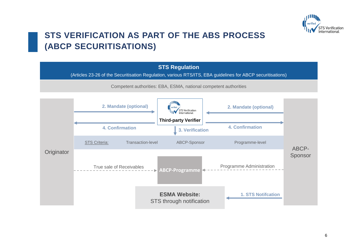

## **STS VERIFICATION AS PART OF THE ABS PROCESS (ABCP SECURITISATIONS)**

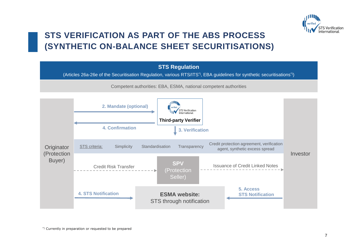

## **STS VERIFICATION AS PART OF THE ABS PROCESS (SYNTHETIC ON-BALANCE SHEET SECURITISATIONS)**

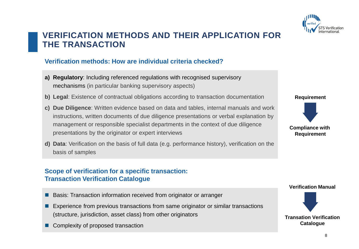

### **VERIFICATION METHODS AND THEIR APPLICATION FOR THE TRANSACTION**

### **Verification methods: How are individual criteria checked?**

- **a) Regulatory**: Including referenced regulations with recognised supervisory mechanisms (in particular banking supervisory aspects)
- **b) Legal**: Existence of contractual obligations according to transaction documentation
- **c) Due Diligence**: Written evidence based on data and tables, internal manuals and work instructions, written documents of due diligence presentations or verbal explanation by management or responsible specialist departments in the context of due diligence presentations by the originator or expert interviews
- **d) Data**: Verification on the basis of full data (e.g. performance history), verification on the basis of samples

#### **Scope of verification for a specific transaction: Transaction Verification Catalogue**

- Basis: Transaction information received from originator or arranger
- Experience from previous transactions from same originator or similar transactions (structure, jurisdiction, asset class) from other originators
- Complexity of proposed transaction

**Requirement Compliance with Requirement**

**Verification Manual**

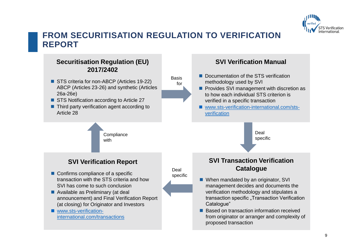

### **FROM SECURITISATION REGULATION TO VERIFICATION REPORT**

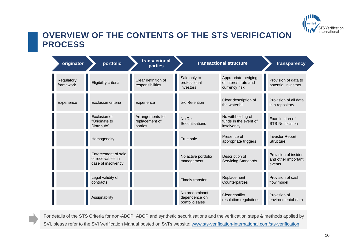

### **OVERVIEW OF THE CONTENTS OF THE STS VERIFICATION PROCESS**

| originator              | portfolio                                                      | transactional<br><b>parties</b>               | transactional structure                            |                                                              | transparency                                          |
|-------------------------|----------------------------------------------------------------|-----------------------------------------------|----------------------------------------------------|--------------------------------------------------------------|-------------------------------------------------------|
| Regulatory<br>framework | Eligibility criteria                                           | Clear definition of<br>responsibilities       | Sale only to<br>professional<br>investors          | Appropriate hedging<br>of interest rate and<br>currency risk | Provision of data to<br>potential investors           |
| Experience              | Exclusion criteria                                             | Experience                                    | 5% Retention                                       | Clear description of<br>the waterfall                        | Provision of all data<br>in a repository              |
|                         | Exclusion of<br>"Originate to<br>Distribute"                   | Arrangements for<br>replacement of<br>parties | No Re-<br>Securitisations                          | No withholding of<br>funds in the event of<br>insolvency     | Examination of<br><b>STS-Notification</b>             |
|                         | Homogeneity                                                    |                                               | True sale                                          | Presence of<br>appropriate triggers                          | <b>Investor Report</b><br><b>Structure</b>            |
|                         | Enforcement of sale<br>of receivables in<br>case of insolvency |                                               | No active portfolio<br>management                  | Description of<br><b>Servicing Standards</b>                 | Provision of insider<br>and other important<br>events |
|                         | Legal validity of<br>contracts                                 |                                               | Timely transfer                                    | Replacement<br>Counterparties                                | Provision of cash<br>flow model                       |
|                         | Assignability                                                  |                                               | No predominant<br>dependence on<br>portfolio sales | Clear conflict<br>resolution regulations                     | Provision of<br>environmental data                    |

For details of the STS Criteria for non-ABCP, ABCP and synthetic securitisations and the verification steps & methods applied by SVI, please refer to the SVI Verification Manual posted on SVI's website: [www.sts-verification-international.com/sts-verification](https://www.sts-verification-international.com/)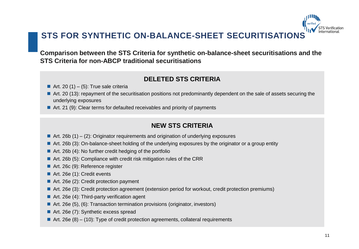

**Comparison between the STS Criteria for synthetic on-balance-sheet securitisations and the STS Criteria for non-ABCP traditional securitisations**

### **DELETED STS CRITERIA**

- Art. 20  $(1) (5)$ : True sale criteria
- Art. 20 (13): repayment of the securitisation positions not predominantly dependent on the sale of assets securing the underlying exposures
- Art. 21 (9): Clear terms for defaulted receivables and priority of payments

### **NEW STS CRITERIA**

- $\blacksquare$  Art. 26b (1) (2): Originator requirements and origination of underlying exposures
- Art. 26b (3): On-balance-sheet holding of the underlying exposures by the originator or a group entity
- Art. 26b (4): No further credit hedging of the portfolio
- Art. 26b (5): Compliance with credit risk mitigation rules of the CRR
- Art. 26c (9): Reference register
- Art. 26e (1): Credit events
- Art. 26e (2): Credit protection payment
- Art. 26e (3): Credit protection agreement (extension period for workout, credit protection premiums)
- Art. 26e (4): Third-party verification agent
- Art. 26e (5), (6): Transaction termination provisions (originator, investors)
- Art. 26e (7): Synthetic excess spread
- $\blacksquare$  Art. 26e (8) (10): Type of credit protection agreements, collateral requirements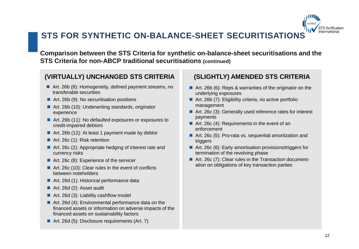## **STS FOR SYNTHETIC ON-BALANCE-SHEET SECURITISATIONS**

**Comparison between the STS Criteria for synthetic on-balance-sheet securitisations and the STS Criteria for non-ABCP traditional securitisations (continued)**

### **(VIRTUALLY) UNCHANGED STS CRITERIA**

- Art. 26b (8): Homogeneity, defined payment streams, no transferable securities
- Art. 26b (9): No securitisation positions
- Art. 26b (10): Underwriting standards, originator experience
- Art. 26b (11): No defaulted exposures or exposures to credit-impaired debtors
- Art. 26b (12): At least 1 payment made by debtor
- Art. 26c (1): Risk retention
- Art. 26c (2): Appropriate hedging of interest rate and currency risks
- Art. 26c (8): Experience of the servicer
- Art. 26c (10): Clear rules in the event of conflicts between noteholders
- Art. 26d (1): Historical performance data
- Art. 26d (2): Asset audit
- Art. 26d (3): Liability cashflow model
- Art. 26d (4): Environmental performance data on the financed assets or information on adverse impacts of the financed assets on sustainability factors
- Art. 26d (5): Disclosure requirements (Art. 7)

### **(SLIGHTLY) AMENDED STS CRITERIA**

- Art. 26b (6): Reps & warranties of the originator on the underlying exposures
- Art. 26b (7): Eligibility criteria, no active portfolio management
- Art. 26c (3): Generally used reference rates for interest payments
- Art. 26c (4): Requirements in the event of an enforcement
- Art. 26c (5): Pro-rata vs. sequential amortization and triggers
- Art. 26c (6): Early amortisation provisions/triggers for termination of the revolving phase
- Art. 26c (7): Clear rules in the Transaction documentation on obligations of key transaction parties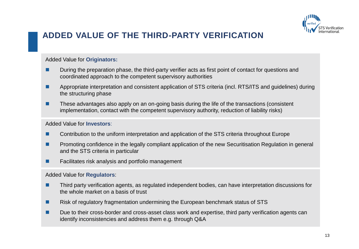

## **ADDED VALUE OF THE THIRD-PARTY VERIFICATION**

#### Added Value for **Originators:**

- During the preparation phase, the third-party verifier acts as first point of contact for questions and coordinated approach to the competent supervisory authorities
- Appropriate interpretation and consistent application of STS criteria (incl. RTS/ITS and quidelines) during the structuring phase
- These advantages also apply on an on-going basis during the life of the transactions (consistent implementation, contact with the competent supervisory authority, reduction of liability risks)

#### Added Value for **Investors**:

- Contribution to the uniform interpretation and application of the STS criteria throughout Europe
- Promoting confidence in the legally compliant application of the new Securitisation Regulation in general and the STS criteria in particular
- Facilitates risk analysis and portfolio management

#### Added Value for **Regulators**:

- Third party verification agents, as regulated independent bodies, can have interpretation discussions for the whole market on a basis of trust
- Risk of regulatory fragmentation undermining the European benchmark status of STS
- Due to their cross-border and cross-asset class work and expertise, third party verification agents can identify inconsistencies and address them e.g. through Q&A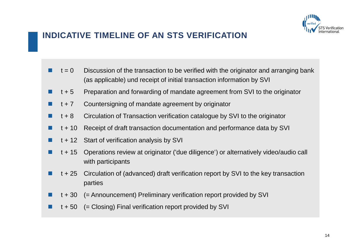

### **INDICATIVE TIMELINE OF AN STS VERIFICATION**

- $t = 0$  Discussion of the transaction to be verified with the originator and arranging bank (as applicable) und receipt of initial transaction information by SVI
- t + 5 Preparation and forwarding of mandate agreement from SVI to the originator
- t + 7 Countersigning of mandate agreement by originator
- t + 8 Circulation of Transaction verification catalogue by SVI to the originator
- $\blacksquare$  t + 10 Receipt of draft transaction documentation and performance data by SVI
- t + 12 Start of verification analysis by SVI
- ◼ t + 15 Operations review at originator ('due diligence') or alternatively video/audio call with participants
- ◼ t + 25 Circulation of (advanced) draft verification report by SVI to the key transaction parties
- ◼ t + 30 (= Announcement) Preliminary verification report provided by SVI
- $\blacksquare$  t + 50 (= Closing) Final verification report provided by SVI